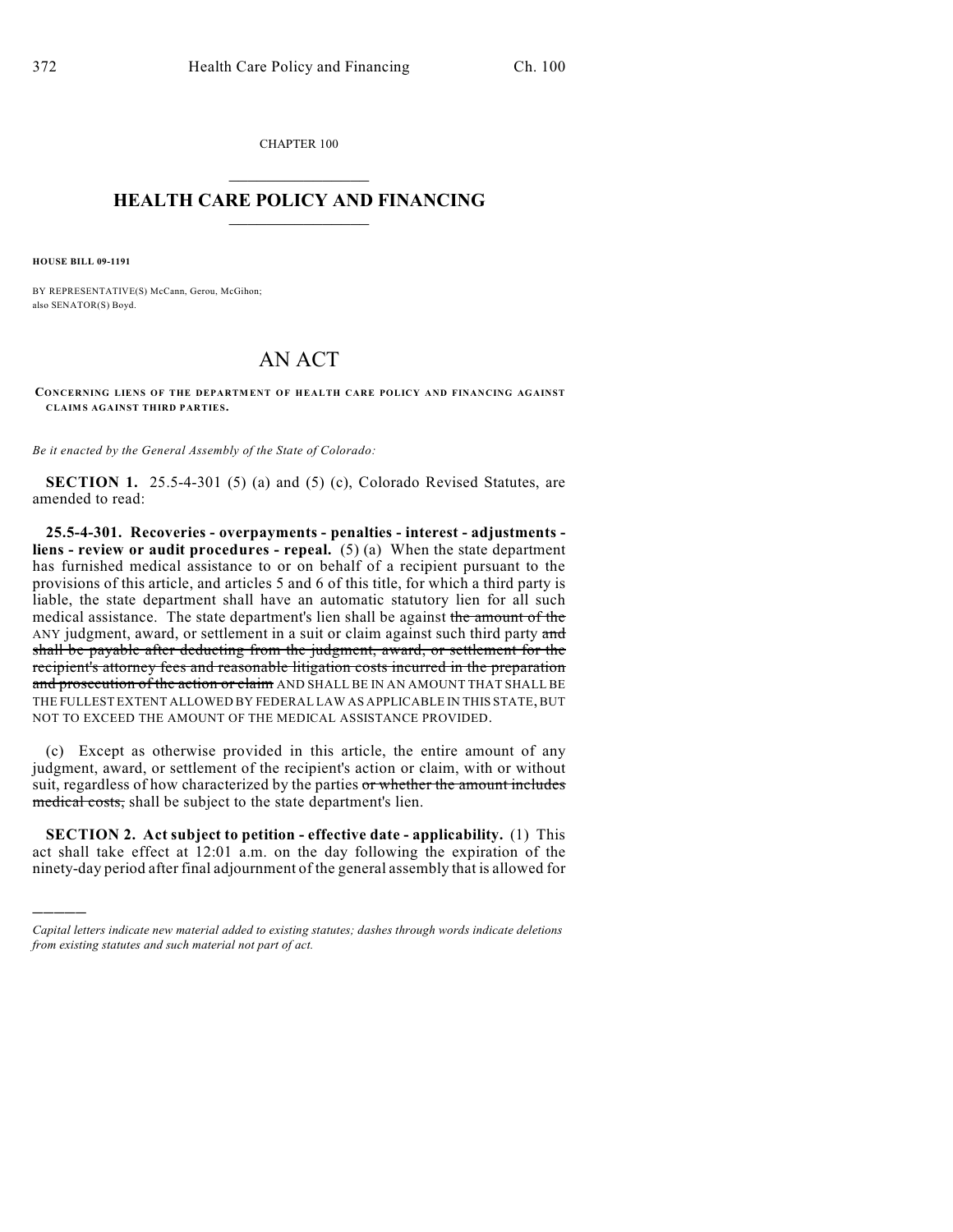CHAPTER 100  $\mathcal{L}_\text{max}$  . The set of the set of the set of the set of the set of the set of the set of the set of the set of the set of the set of the set of the set of the set of the set of the set of the set of the set of the set

## **HEALTH CARE POLICY AND FINANCING**  $\_$   $\_$   $\_$   $\_$   $\_$   $\_$   $\_$   $\_$

**HOUSE BILL 09-1191**

)))))

BY REPRESENTATIVE(S) McCann, Gerou, McGihon; also SENATOR(S) Boyd.

## AN ACT

**CONCERNING LIENS OF THE DEPARTMENT OF HEALTH CARE POLICY AND FINANCING AGAINST CLAIMS AGAINST THIRD PARTIES.**

*Be it enacted by the General Assembly of the State of Colorado:*

**SECTION 1.** 25.5-4-301 (5) (a) and (5) (c), Colorado Revised Statutes, are amended to read:

**25.5-4-301. Recoveries - overpayments - penalties - interest - adjustments liens - review or audit procedures - repeal.** (5) (a) When the state department has furnished medical assistance to or on behalf of a recipient pursuant to the provisions of this article, and articles 5 and 6 of this title, for which a third party is liable, the state department shall have an automatic statutory lien for all such medical assistance. The state department's lien shall be against the amount of the ANY judgment, award, or settlement in a suit or claim against such third party and shall be payable after deducting from the judgment, award, or settlement for the recipient's attorney fees and reasonable litigation costs incurred in the preparation and prosecution of the action or claim AND SHALL BE IN AN AMOUNT THAT SHALL BE THE FULLEST EXTENT ALLOWED BY FEDERAL LAW AS APPLICABLE IN THIS STATE, BUT NOT TO EXCEED THE AMOUNT OF THE MEDICAL ASSISTANCE PROVIDED.

(c) Except as otherwise provided in this article, the entire amount of any judgment, award, or settlement of the recipient's action or claim, with or without suit, regardless of how characterized by the parties or whether the amount includes medical costs, shall be subject to the state department's lien.

**SECTION 2. Act subject to petition - effective date - applicability.** (1) This act shall take effect at 12:01 a.m. on the day following the expiration of the ninety-day period after final adjournment of the general assembly that is allowed for

*Capital letters indicate new material added to existing statutes; dashes through words indicate deletions from existing statutes and such material not part of act.*